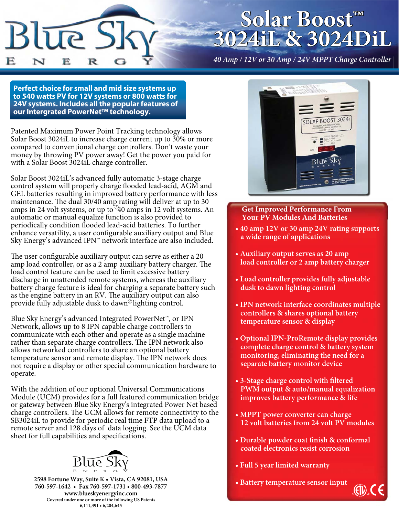

# **Solar Boost™ 3024iL & 3024DiL**

*40 Amp / 12V or 30 Amp / 24V MPPT Charge Controller*

**Perfect choice for small and mid size systems up to 540 watts PV for 12V systems or 800 watts for 24V systems. Includes all the popular features of our Intergrated PowerNet™ technology.**

Patented Maximum Power Point Tracking technology allows Solar Boost 3024iL to increase charge current up to 30% or more compared to conventional charge controllers. Don't waste your money by throwing PV power away! Get the power you paid for with a Solar Boost 3024iL charge controller.

amps in 24 volt systems, or up to  $940$  amps in 12 volt systems. An Solar Boost 3024iL's advanced fully automatic 3-stage charge control system will properly charge flooded lead-acid, AGM and GEL batteries resulting in improved battery performance with less maintenance. The dual 30/40 amp rating will deliver at up to 30 automatic or manual equalize function is also provided to periodically condition flooded lead-acid batteries. To further enhance versatility, a user configurable auxiliary output and Blue Sky Energy's advanced IPN™ network interface are also included.

provide fully adjustable dusk to dawn<sup>@</sup>lighting control. The user configurable auxiliary output can serve as either a 20 amp load controller, or as a 2 amp auxiliary battery charger. The load control feature can be used to limit excessive battery discharge in unattended remote systems, whereas the auxiliary battery charge feature is ideal for charging a separate battery such as the engine battery in an RV. The auxiliary output can also

Blue Sky Energy's advanced Integrated PowerNet™, or IPN Network, allows up to 8 IPN capable charge controllers to communicate with each other and operate as a single machine rather than separate charge controllers. The IPN network also allows networked controllers to share an optional battery temperature sensor and remote display. The IPN network does not require a display or other special communication hardware to operate.

With the addition of our optional Universal Communications Module (UCM) provides for a full featured communication bridge or gateway between Blue Sky Energy's integrated Power Net based charge controllers. The UCM allows for remote connectivity to the SB3024iL to provide for periodic real time FTP data upload to a remote server and 128 days of data logging. See the UCM data sheet for full capabilities and specifications.



**2598 Fortune Way, Suite K t Vista, CA 92081, USA 760-597-1642 t Fax 760-597-173t800-493-7877 www.blueskyenergyinc.com Covered under one or more of the following US Patents 6,111,391 t 6,204,645**



#### **Get Improved Performance From Your PV Modules And Batteries**

- 40 amp 12V or 30 amp 24V rating supports a wide range of applications
- **Auxiliary output serves as 20 amp** load controller or 2 amp battery charger
- **Load controller provides fully adjustable dusk to dawn lighting control**
- **IPN network interface coordinates multiple controllers & shares optional battery temperature sensor & display**
- Optional IPN-ProRemote display provides complete charge control & battery system  **monitoring, eliminating the need for a Separate battery monitor device**
- **3-Stage charge control with filtered PWM** output & auto/manual equalization **improves battery performance & life**
- MPPT power converter can charge  **12 volt batteries from 24 volt PV modules**
- **Durable powder coat finish & conformal coated electronics resist corrosion**
- **Full 5 year limited warranty**
- **Battery temperature sensor input**